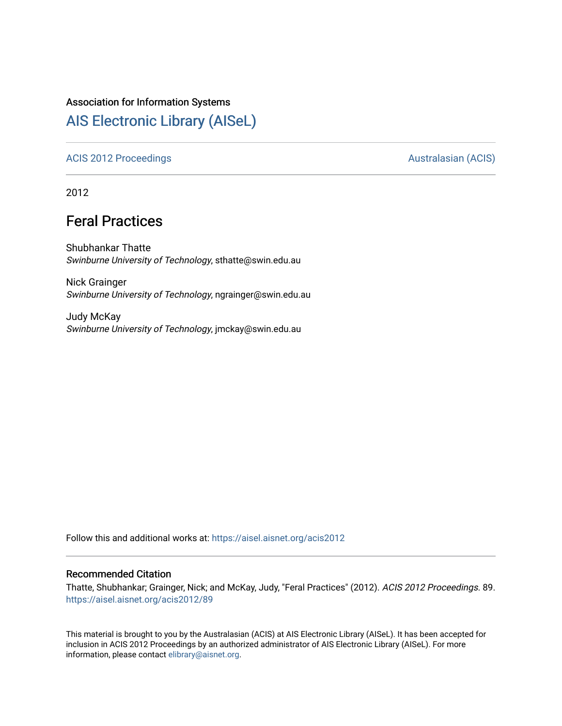### Association for Information Systems

# [AIS Electronic Library \(AISeL\)](https://aisel.aisnet.org/)

#### [ACIS 2012 Proceedings](https://aisel.aisnet.org/acis2012) **AUSTRALIA CIS** Australasian (ACIS)

2012

# Feral Practices

Shubhankar Thatte Swinburne University of Technology, sthatte@swin.edu.au

Nick Grainger Swinburne University of Technology, ngrainger@swin.edu.au

Judy McKay Swinburne University of Technology, jmckay@swin.edu.au

Follow this and additional works at: [https://aisel.aisnet.org/acis2012](https://aisel.aisnet.org/acis2012?utm_source=aisel.aisnet.org%2Facis2012%2F89&utm_medium=PDF&utm_campaign=PDFCoverPages) 

#### Recommended Citation

Thatte, Shubhankar; Grainger, Nick; and McKay, Judy, "Feral Practices" (2012). ACIS 2012 Proceedings. 89. [https://aisel.aisnet.org/acis2012/89](https://aisel.aisnet.org/acis2012/89?utm_source=aisel.aisnet.org%2Facis2012%2F89&utm_medium=PDF&utm_campaign=PDFCoverPages)

This material is brought to you by the Australasian (ACIS) at AIS Electronic Library (AISeL). It has been accepted for inclusion in ACIS 2012 Proceedings by an authorized administrator of AIS Electronic Library (AISeL). For more information, please contact [elibrary@aisnet.org.](mailto:elibrary@aisnet.org%3E)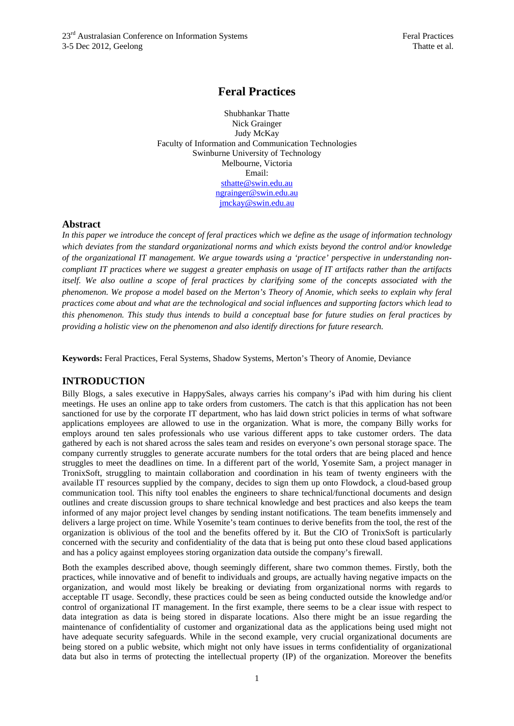## **Feral Practices**

Shubhankar Thatte Nick Grainger Judy McKay Faculty of Information and Communication Technologies Swinburne University of Technology Melbourne, Victoria Email: sthatte@swin.edu.au ngrainger@swin.edu.au jmckay@swin.edu.au

#### **Abstract**

*In this paper we introduce the concept of feral practices which we define as the usage of information technology which deviates from the standard organizational norms and which exists beyond the control and/or knowledge of the organizational IT management. We argue towards using a 'practice' perspective in understanding noncompliant IT practices where we suggest a greater emphasis on usage of IT artifacts rather than the artifacts itself. We also outline a scope of feral practices by clarifying some of the concepts associated with the phenomenon. We propose a model based on the Merton's Theory of Anomie, which seeks to explain why feral practices come about and what are the technological and social influences and supporting factors which lead to this phenomenon. This study thus intends to build a conceptual base for future studies on feral practices by providing a holistic view on the phenomenon and also identify directions for future research.* 

**Keywords:** Feral Practices, Feral Systems, Shadow Systems, Merton's Theory of Anomie, Deviance

#### **INTRODUCTION**

Billy Blogs, a sales executive in HappySales, always carries his company's iPad with him during his client meetings. He uses an online app to take orders from customers. The catch is that this application has not been sanctioned for use by the corporate IT department, who has laid down strict policies in terms of what software applications employees are allowed to use in the organization. What is more, the company Billy works for employs around ten sales professionals who use various different apps to take customer orders. The data gathered by each is not shared across the sales team and resides on everyone's own personal storage space. The company currently struggles to generate accurate numbers for the total orders that are being placed and hence struggles to meet the deadlines on time. In a different part of the world, Yosemite Sam, a project manager in TronixSoft, struggling to maintain collaboration and coordination in his team of twenty engineers with the available IT resources supplied by the company, decides to sign them up onto Flowdock, a cloud-based group communication tool. This nifty tool enables the engineers to share technical/functional documents and design outlines and create discussion groups to share technical knowledge and best practices and also keeps the team informed of any major project level changes by sending instant notifications. The team benefits immensely and delivers a large project on time. While Yosemite's team continues to derive benefits from the tool, the rest of the organization is oblivious of the tool and the benefits offered by it. But the CIO of TronixSoft is particularly concerned with the security and confidentiality of the data that is being put onto these cloud based applications and has a policy against employees storing organization data outside the company's firewall.

Both the examples described above, though seemingly different, share two common themes. Firstly, both the practices, while innovative and of benefit to individuals and groups, are actually having negative impacts on the organization, and would most likely be breaking or deviating from organizational norms with regards to acceptable IT usage. Secondly, these practices could be seen as being conducted outside the knowledge and/or control of organizational IT management. In the first example, there seems to be a clear issue with respect to data integration as data is being stored in disparate locations. Also there might be an issue regarding the maintenance of confidentiality of customer and organizational data as the applications being used might not have adequate security safeguards. While in the second example, very crucial organizational documents are being stored on a public website, which might not only have issues in terms confidentiality of organizational data but also in terms of protecting the intellectual property (IP) of the organization. Moreover the benefits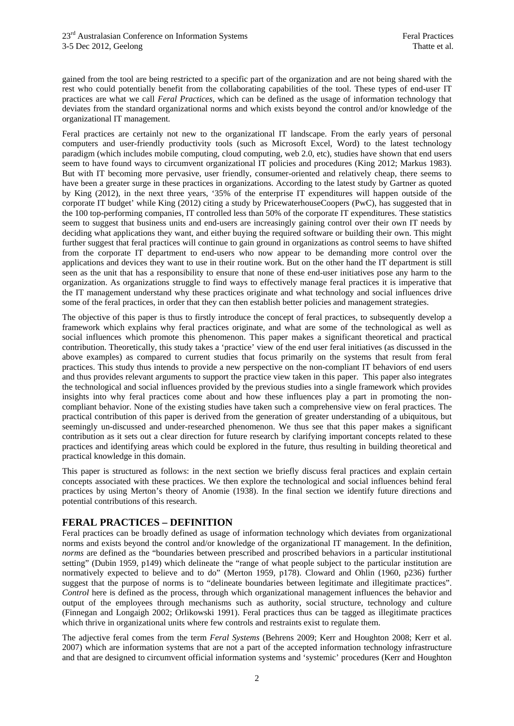gained from the tool are being restricted to a specific part of the organization and are not being shared with the rest who could potentially benefit from the collaborating capabilities of the tool. These types of end-user IT practices are what we call *Feral Practices,* which can be defined as the usage of information technology that deviates from the standard organizational norms and which exists beyond the control and/or knowledge of the organizational IT management.

Feral practices are certainly not new to the organizational IT landscape. From the early years of personal computers and user-friendly productivity tools (such as Microsoft Excel, Word) to the latest technology paradigm (which includes mobile computing, cloud computing, web 2.0, etc), studies have shown that end users seem to have found ways to circumvent organizational IT policies and procedures (King 2012; Markus 1983). But with IT becoming more pervasive, user friendly, consumer-oriented and relatively cheap, there seems to have been a greater surge in these practices in organizations. According to the latest study by Gartner as quoted by King (2012), in the next three years, '35% of the enterprise IT expenditures will happen outside of the corporate IT budget' while King (2012) citing a study by PricewaterhouseCoopers (PwC), has suggested that in the 100 top-performing companies, IT controlled less than 50% of the corporate IT expenditures. These statistics seem to suggest that business units and end-users are increasingly gaining control over their own IT needs by deciding what applications they want, and either buying the required software or building their own. This might further suggest that feral practices will continue to gain ground in organizations as control seems to have shifted from the corporate IT department to end-users who now appear to be demanding more control over the applications and devices they want to use in their routine work. But on the other hand the IT department is still seen as the unit that has a responsibility to ensure that none of these end-user initiatives pose any harm to the organization. As organizations struggle to find ways to effectively manage feral practices it is imperative that the IT management understand why these practices originate and what technology and social influences drive some of the feral practices, in order that they can then establish better policies and management strategies.

The objective of this paper is thus to firstly introduce the concept of feral practices, to subsequently develop a framework which explains why feral practices originate, and what are some of the technological as well as social influences which promote this phenomenon. This paper makes a significant theoretical and practical contribution. Theoretically, this study takes a 'practice' view of the end user feral initiatives (as discussed in the above examples) as compared to current studies that focus primarily on the systems that result from feral practices. This study thus intends to provide a new perspective on the non-compliant IT behaviors of end users and thus provides relevant arguments to support the practice view taken in this paper. This paper also integrates the technological and social influences provided by the previous studies into a single framework which provides insights into why feral practices come about and how these influences play a part in promoting the noncompliant behavior. None of the existing studies have taken such a comprehensive view on feral practices. The practical contribution of this paper is derived from the generation of greater understanding of a ubiquitous, but seemingly un-discussed and under-researched phenomenon. We thus see that this paper makes a significant contribution as it sets out a clear direction for future research by clarifying important concepts related to these practices and identifying areas which could be explored in the future, thus resulting in building theoretical and practical knowledge in this domain.

This paper is structured as follows: in the next section we briefly discuss feral practices and explain certain concepts associated with these practices. We then explore the technological and social influences behind feral practices by using Merton's theory of Anomie (1938). In the final section we identify future directions and potential contributions of this research.

### **FERAL PRACTICES – DEFINITION**

Feral practices can be broadly defined as usage of information technology which deviates from organizational norms and exists beyond the control and/or knowledge of the organizational IT management. In the definition, *norms* are defined as the "boundaries between prescribed and proscribed behaviors in a particular institutional setting" (Dubin 1959, p149) which delineate the "range of what people subject to the particular institution are normatively expected to believe and to do" (Merton 1959, p178). Cloward and Ohlin (1960, p236) further suggest that the purpose of norms is to "delineate boundaries between legitimate and illegitimate practices". *Control* here is defined as the process, through which organizational management influences the behavior and output of the employees through mechanisms such as authority, social structure, technology and culture (Finnegan and Longaigh 2002; Orlikowski 1991). Feral practices thus can be tagged as illegitimate practices which thrive in organizational units where few controls and restraints exist to regulate them.

The adjective feral comes from the term *Feral Systems* (Behrens 2009; Kerr and Houghton 2008; Kerr et al. 2007) which are information systems that are not a part of the accepted information technology infrastructure and that are designed to circumvent official information systems and 'systemic' procedures (Kerr and Houghton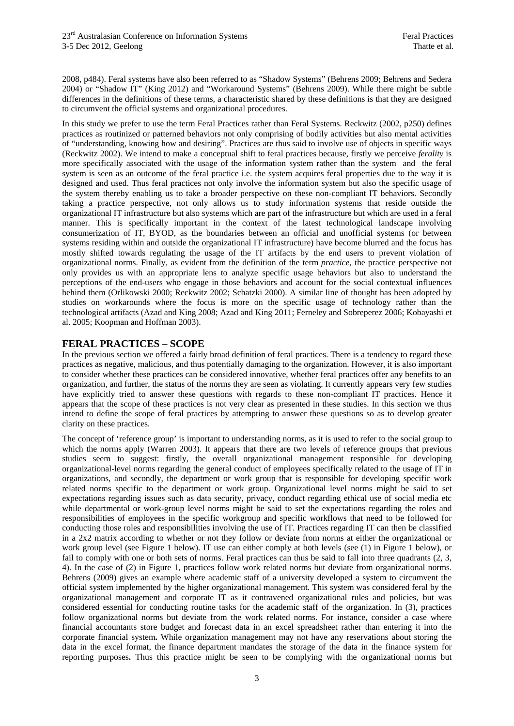2008, p484). Feral systems have also been referred to as "Shadow Systems" (Behrens 2009; Behrens and Sedera 2004) or "Shadow IT" (King 2012) and "Workaround Systems" (Behrens 2009). While there might be subtle differences in the definitions of these terms, a characteristic shared by these definitions is that they are designed to circumvent the official systems and organizational procedures.

In this study we prefer to use the term Feral Practices rather than Feral Systems. Reckwitz (2002, p250) defines practices as routinized or patterned behaviors not only comprising of bodily activities but also mental activities of "understanding, knowing how and desiring". Practices are thus said to involve use of objects in specific ways (Reckwitz 2002). We intend to make a conceptual shift to feral practices because, firstly we perceive *ferality* is more specifically associated with the usage of the information system rather than the system and the feral system is seen as an outcome of the feral practice i.e. the system acquires feral properties due to the way it is designed and used. Thus feral practices not only involve the information system but also the specific usage of the system thereby enabling us to take a broader perspective on these non-compliant IT behaviors. Secondly taking a practice perspective, not only allows us to study information systems that reside outside the organizational IT infrastructure but also systems which are part of the infrastructure but which are used in a feral manner. This is specifically important in the context of the latest technological landscape involving consumerization of IT, BYOD, as the boundaries between an official and unofficial systems (or between systems residing within and outside the organizational IT infrastructure) have become blurred and the focus has mostly shifted towards regulating the usage of the IT artifacts by the end users to prevent violation of organizational norms. Finally, as evident from the definition of the term *practice*, the practice perspective not only provides us with an appropriate lens to analyze specific usage behaviors but also to understand the perceptions of the end-users who engage in those behaviors and account for the social contextual influences behind them (Orlikowski 2000; Reckwitz 2002; Schatzki 2000). A similar line of thought has been adopted by studies on workarounds where the focus is more on the specific usage of technology rather than the technological artifacts (Azad and King 2008; Azad and King 2011; Ferneley and Sobreperez 2006; Kobayashi et al. 2005; Koopman and Hoffman 2003).

#### **FERAL PRACTICES – SCOPE**

In the previous section we offered a fairly broad definition of feral practices. There is a tendency to regard these practices as negative, malicious, and thus potentially damaging to the organization. However, it is also important to consider whether these practices can be considered innovative, whether feral practices offer any benefits to an organization, and further, the status of the norms they are seen as violating. It currently appears very few studies have explicitly tried to answer these questions with regards to these non-compliant IT practices. Hence it appears that the scope of these practices is not very clear as presented in these studies. In this section we thus intend to define the scope of feral practices by attempting to answer these questions so as to develop greater clarity on these practices.

The concept of 'reference group' is important to understanding norms, as it is used to refer to the social group to which the norms apply (Warren 2003). It appears that there are two levels of reference groups that previous studies seem to suggest: firstly, the overall organizational management responsible for developing organizational-level norms regarding the general conduct of employees specifically related to the usage of IT in organizations, and secondly, the department or work group that is responsible for developing specific work related norms specific to the department or work group. Organizational level norms might be said to set expectations regarding issues such as data security, privacy, conduct regarding ethical use of social media etc while departmental or work-group level norms might be said to set the expectations regarding the roles and responsibilities of employees in the specific workgroup and specific workflows that need to be followed for conducting those roles and responsibilities involving the use of IT. Practices regarding IT can then be classified in a 2x2 matrix according to whether or not they follow or deviate from norms at either the organizational or work group level (see Figure 1 below). IT use can either comply at both levels (see  $(1)$  in Figure 1 below), or fail to comply with one or both sets of norms. Feral practices can thus be said to fall into three quadrants (2, 3, 4). In the case of (2) in Figure 1, practices follow work related norms but deviate from organizational norms. Behrens (2009) gives an example where academic staff of a university developed a system to circumvent the official system implemented by the higher organizational management. This system was considered feral by the organizational management and corporate IT as it contravened organizational rules and policies, but was considered essential for conducting routine tasks for the academic staff of the organization. In (3), practices follow organizational norms but deviate from the work related norms. For instance, consider a case where financial accountants store budget and forecast data in an excel spreadsheet rather than entering it into the corporate financial system**.** While organization management may not have any reservations about storing the data in the excel format, the finance department mandates the storage of the data in the finance system for reporting purposes**.** Thus this practice might be seen to be complying with the organizational norms but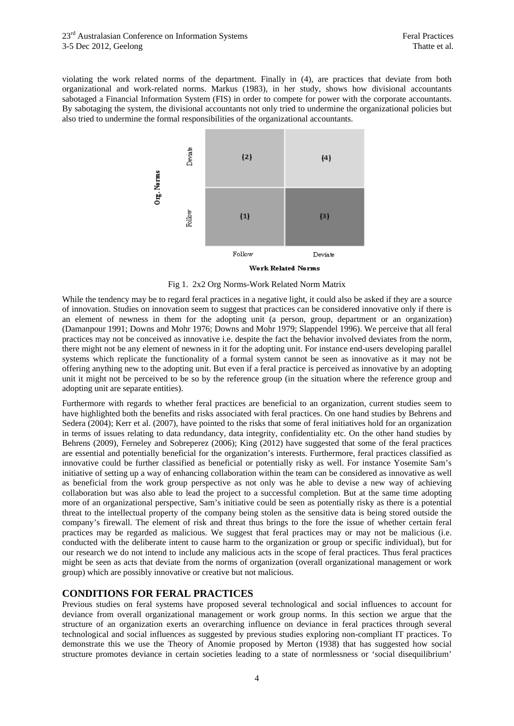violating the work related norms of the department. Finally in (4), are practices that deviate from both organizational and work-related norms. Markus (1983), in her study, shows how divisional accountants sabotaged a Financial Information System (FIS) in order to compete for power with the corporate accountants. By sabotaging the system, the divisional accountants not only tried to undermine the organizational policies but also tried to undermine the formal responsibilities of the organizational accountants.



Work Related Norms



While the tendency may be to regard feral practices in a negative light, it could also be asked if they are a source of innovation. Studies on innovation seem to suggest that practices can be considered innovative only if there is an element of newness in them for the adopting unit (a person, group, department or an organization) (Damanpour 1991; Downs and Mohr 1976; Downs and Mohr 1979; Slappendel 1996). We perceive that all feral practices may not be conceived as innovative i.e. despite the fact the behavior involved deviates from the norm, there might not be any element of newness in it for the adopting unit. For instance end-users developing parallel systems which replicate the functionality of a formal system cannot be seen as innovative as it may not be offering anything new to the adopting unit. But even if a feral practice is perceived as innovative by an adopting unit it might not be perceived to be so by the reference group (in the situation where the reference group and adopting unit are separate entities).

Furthermore with regards to whether feral practices are beneficial to an organization, current studies seem to have highlighted both the benefits and risks associated with feral practices. On one hand studies by Behrens and Sedera (2004); Kerr et al. (2007), have pointed to the risks that some of feral initiatives hold for an organization in terms of issues relating to data redundancy, data integrity, confidentiality etc. On the other hand studies by Behrens (2009), Ferneley and Sobreperez (2006); King (2012) have suggested that some of the feral practices are essential and potentially beneficial for the organization's interests. Furthermore, feral practices classified as innovative could be further classified as beneficial or potentially risky as well. For instance Yosemite Sam's initiative of setting up a way of enhancing collaboration within the team can be considered as innovative as well as beneficial from the work group perspective as not only was he able to devise a new way of achieving collaboration but was also able to lead the project to a successful completion. But at the same time adopting more of an organizational perspective, Sam's initiative could be seen as potentially risky as there is a potential threat to the intellectual property of the company being stolen as the sensitive data is being stored outside the company's firewall. The element of risk and threat thus brings to the fore the issue of whether certain feral practices may be regarded as malicious. We suggest that feral practices may or may not be malicious (i.e. conducted with the deliberate intent to cause harm to the organization or group or specific individual), but for our research we do not intend to include any malicious acts in the scope of feral practices. Thus feral practices might be seen as acts that deviate from the norms of organization (overall organizational management or work group) which are possibly innovative or creative but not malicious.

#### **CONDITIONS FOR FERAL PRACTICES**

Previous studies on feral systems have proposed several technological and social influences to account for deviance from overall organizational management or work group norms. In this section we argue that the structure of an organization exerts an overarching influence on deviance in feral practices through several technological and social influences as suggested by previous studies exploring non-compliant IT practices. To demonstrate this we use the Theory of Anomie proposed by Merton (1938) that has suggested how social structure promotes deviance in certain societies leading to a state of normlessness or 'social disequilibrium'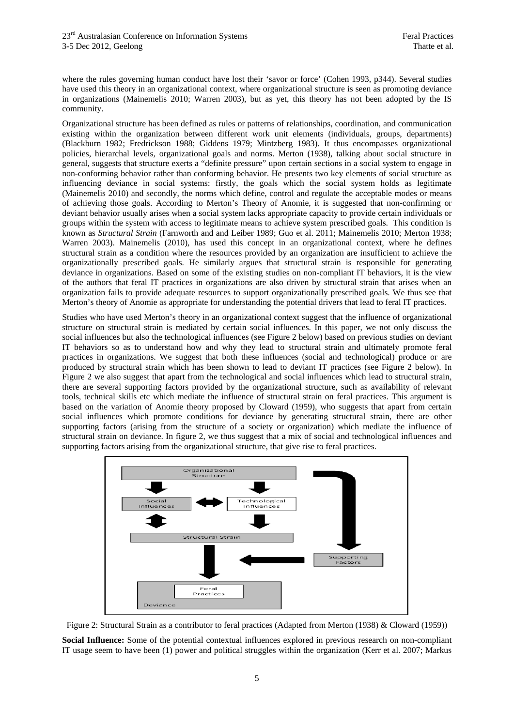where the rules governing human conduct have lost their 'savor or force' (Cohen 1993, p344). Several studies have used this theory in an organizational context, where organizational structure is seen as promoting deviance in organizations (Mainemelis 2010; Warren 2003), but as yet, this theory has not been adopted by the IS community.

Organizational structure has been defined as rules or patterns of relationships, coordination, and communication existing within the organization between different work unit elements (individuals, groups, departments) (Blackburn 1982; Fredrickson 1988; Giddens 1979; Mintzberg 1983). It thus encompasses organizational policies, hierarchal levels, organizational goals and norms. Merton (1938), talking about social structure in general, suggests that structure exerts a "definite pressure" upon certain sections in a social system to engage in non-conforming behavior rather than conforming behavior. He presents two key elements of social structure as influencing deviance in social systems: firstly, the goals which the social system holds as legitimate (Mainemelis 2010) and secondly, the norms which define, control and regulate the acceptable modes or means of achieving those goals. According to Merton's Theory of Anomie, it is suggested that non-confirming or deviant behavior usually arises when a social system lacks appropriate capacity to provide certain individuals or groups within the system with access to legitimate means to achieve system prescribed goals. This condition is known as *Structural Strain* (Farnworth and and Leiber 1989; Guo et al. 2011; Mainemelis 2010; Merton 1938; Warren 2003). Mainemelis (2010), has used this concept in an organizational context, where he defines structural strain as a condition where the resources provided by an organization are insufficient to achieve the organizationally prescribed goals. He similarly argues that structural strain is responsible for generating deviance in organizations. Based on some of the existing studies on non-compliant IT behaviors, it is the view of the authors that feral IT practices in organizations are also driven by structural strain that arises when an organization fails to provide adequate resources to support organizationally prescribed goals. We thus see that Merton's theory of Anomie as appropriate for understanding the potential drivers that lead to feral IT practices.

Studies who have used Merton's theory in an organizational context suggest that the influence of organizational structure on structural strain is mediated by certain social influences. In this paper, we not only discuss the social influences but also the technological influences (see Figure 2 below) based on previous studies on deviant IT behaviors so as to understand how and why they lead to structural strain and ultimately promote feral practices in organizations. We suggest that both these influences (social and technological) produce or are produced by structural strain which has been shown to lead to deviant IT practices (see Figure 2 below). In Figure 2 we also suggest that apart from the technological and social influences which lead to structural strain, there are several supporting factors provided by the organizational structure, such as availability of relevant tools, technical skills etc which mediate the influence of structural strain on feral practices. This argument is based on the variation of Anomie theory proposed by Cloward (1959), who suggests that apart from certain social influences which promote conditions for deviance by generating structural strain, there are other supporting factors (arising from the structure of a society or organization) which mediate the influence of structural strain on deviance. In figure 2, we thus suggest that a mix of social and technological influences and supporting factors arising from the organizational structure, that give rise to feral practices.



Figure 2: Structural Strain as a contributor to feral practices (Adapted from Merton (1938) & Cloward (1959))

**Social Influence:** Some of the potential contextual influences explored in previous research on non-compliant IT usage seem to have been (1) power and political struggles within the organization (Kerr et al. 2007; Markus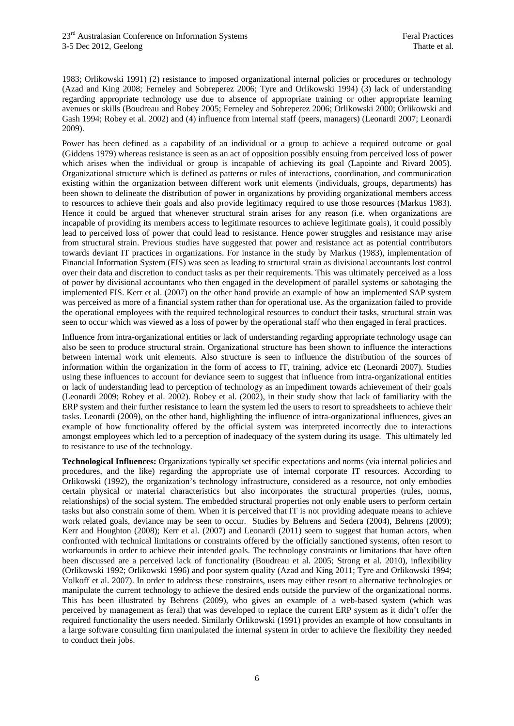1983; Orlikowski 1991) (2) resistance to imposed organizational internal policies or procedures or technology (Azad and King 2008; Ferneley and Sobreperez 2006; Tyre and Orlikowski 1994) (3) lack of understanding regarding appropriate technology use due to absence of appropriate training or other appropriate learning avenues or skills (Boudreau and Robey 2005; Ferneley and Sobreperez 2006; Orlikowski 2000; Orlikowski and Gash 1994; Robey et al. 2002) and (4) influence from internal staff (peers, managers) (Leonardi 2007; Leonardi 2009).

Power has been defined as a capability of an individual or a group to achieve a required outcome or goal (Giddens 1979) whereas resistance is seen as an act of opposition possibly ensuing from perceived loss of power which arises when the individual or group is incapable of achieving its goal (Lapointe and Rivard 2005). Organizational structure which is defined as patterns or rules of interactions, coordination, and communication existing within the organization between different work unit elements (individuals, groups, departments) has been shown to delineate the distribution of power in organizations by providing organizational members access to resources to achieve their goals and also provide legitimacy required to use those resources (Markus 1983). Hence it could be argued that whenever structural strain arises for any reason (i.e. when organizations are incapable of providing its members access to legitimate resources to achieve legitimate goals), it could possibly lead to perceived loss of power that could lead to resistance. Hence power struggles and resistance may arise from structural strain. Previous studies have suggested that power and resistance act as potential contributors towards deviant IT practices in organizations. For instance in the study by Markus (1983), implementation of Financial Information System (FIS) was seen as leading to structural strain as divisional accountants lost control over their data and discretion to conduct tasks as per their requirements. This was ultimately perceived as a loss of power by divisional accountants who then engaged in the development of parallel systems or sabotaging the implemented FIS. Kerr et al. (2007) on the other hand provide an example of how an implemented SAP system was perceived as more of a financial system rather than for operational use. As the organization failed to provide the operational employees with the required technological resources to conduct their tasks, structural strain was seen to occur which was viewed as a loss of power by the operational staff who then engaged in feral practices.

Influence from intra-organizational entities or lack of understanding regarding appropriate technology usage can also be seen to produce structural strain. Organizational structure has been shown to influence the interactions between internal work unit elements. Also structure is seen to influence the distribution of the sources of information within the organization in the form of access to IT, training, advice etc (Leonardi 2007). Studies using these influences to account for deviance seem to suggest that influence from intra-organizational entities or lack of understanding lead to perception of technology as an impediment towards achievement of their goals (Leonardi 2009; Robey et al. 2002). Robey et al. (2002), in their study show that lack of familiarity with the ERP system and their further resistance to learn the system led the users to resort to spreadsheets to achieve their tasks. Leonardi (2009), on the other hand, highlighting the influence of intra-organizational influences, gives an example of how functionality offered by the official system was interpreted incorrectly due to interactions amongst employees which led to a perception of inadequacy of the system during its usage. This ultimately led to resistance to use of the technology.

**Technological Influences:** Organizations typically set specific expectations and norms (via internal policies and procedures, and the like) regarding the appropriate use of internal corporate IT resources. According to Orlikowski (1992), the organization's technology infrastructure, considered as a resource, not only embodies certain physical or material characteristics but also incorporates the structural properties (rules, norms, relationships) of the social system. The embedded structural properties not only enable users to perform certain tasks but also constrain some of them. When it is perceived that IT is not providing adequate means to achieve work related goals, deviance may be seen to occur. Studies by Behrens and Sedera (2004), Behrens (2009); Kerr and Houghton (2008); Kerr et al. (2007) and Leonardi (2011) seem to suggest that human actors, when confronted with technical limitations or constraints offered by the officially sanctioned systems, often resort to workarounds in order to achieve their intended goals. The technology constraints or limitations that have often been discussed are a perceived lack of functionality (Boudreau et al. 2005; Strong et al. 2010), inflexibility (Orlikowski 1992; Orlikowski 1996) and poor system quality (Azad and King 2011; Tyre and Orlikowski 1994; Volkoff et al. 2007). In order to address these constraints, users may either resort to alternative technologies or manipulate the current technology to achieve the desired ends outside the purview of the organizational norms. This has been illustrated by Behrens (2009), who gives an example of a web-based system (which was perceived by management as feral) that was developed to replace the current ERP system as it didn't offer the required functionality the users needed. Similarly Orlikowski (1991) provides an example of how consultants in a large software consulting firm manipulated the internal system in order to achieve the flexibility they needed to conduct their jobs.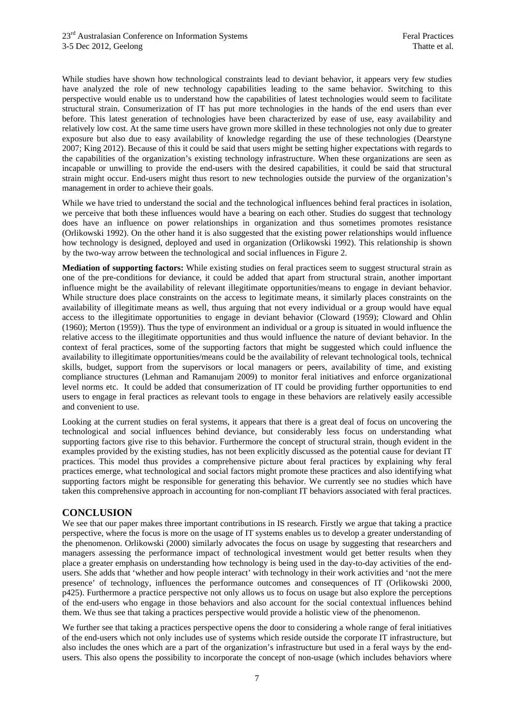While studies have shown how technological constraints lead to deviant behavior, it appears very few studies have analyzed the role of new technology capabilities leading to the same behavior. Switching to this perspective would enable us to understand how the capabilities of latest technologies would seem to facilitate structural strain. Consumerization of IT has put more technologies in the hands of the end users than ever before. This latest generation of technologies have been characterized by ease of use, easy availability and relatively low cost. At the same time users have grown more skilled in these technologies not only due to greater exposure but also due to easy availability of knowledge regarding the use of these technologies (Dearstyne 2007; King 2012). Because of this it could be said that users might be setting higher expectations with regards to the capabilities of the organization's existing technology infrastructure. When these organizations are seen as incapable or unwilling to provide the end-users with the desired capabilities, it could be said that structural strain might occur. End-users might thus resort to new technologies outside the purview of the organization's management in order to achieve their goals.

While we have tried to understand the social and the technological influences behind feral practices in isolation, we perceive that both these influences would have a bearing on each other. Studies do suggest that technology does have an influence on power relationships in organization and thus sometimes promotes resistance (Orlikowski 1992). On the other hand it is also suggested that the existing power relationships would influence how technology is designed, deployed and used in organization (Orlikowski 1992). This relationship is shown by the two-way arrow between the technological and social influences in Figure 2.

**Mediation of supporting factors:** While existing studies on feral practices seem to suggest structural strain as one of the pre-conditions for deviance, it could be added that apart from structural strain, another important influence might be the availability of relevant illegitimate opportunities/means to engage in deviant behavior. While structure does place constraints on the access to legitimate means, it similarly places constraints on the availability of illegitimate means as well, thus arguing that not every individual or a group would have equal access to the illegitimate opportunities to engage in deviant behavior (Cloward (1959); Cloward and Ohlin (1960); Merton (1959)). Thus the type of environment an individual or a group is situated in would influence the relative access to the illegitimate opportunities and thus would influence the nature of deviant behavior. In the context of feral practices, some of the supporting factors that might be suggested which could influence the availability to illegitimate opportunities/means could be the availability of relevant technological tools, technical skills, budget, support from the supervisors or local managers or peers, availability of time, and existing compliance structures (Lehman and Ramanujam 2009) to monitor feral initiatives and enforce organizational level norms etc. It could be added that consumerization of IT could be providing further opportunities to end users to engage in feral practices as relevant tools to engage in these behaviors are relatively easily accessible and convenient to use.

Looking at the current studies on feral systems, it appears that there is a great deal of focus on uncovering the technological and social influences behind deviance, but considerably less focus on understanding what supporting factors give rise to this behavior. Furthermore the concept of structural strain, though evident in the examples provided by the existing studies, has not been explicitly discussed as the potential cause for deviant IT practices. This model thus provides a comprehensive picture about feral practices by explaining why feral practices emerge, what technological and social factors might promote these practices and also identifying what supporting factors might be responsible for generating this behavior. We currently see no studies which have taken this comprehensive approach in accounting for non-compliant IT behaviors associated with feral practices.

**CONCLUSION**<br>We see that our paper makes three important contributions in IS research. Firstly we argue that taking a practice perspective, where the focus is more on the usage of IT systems enables us to develop a greater understanding of the phenomenon. Orlikowski (2000) similarly advocates the focus on usage by suggesting that researchers and managers assessing the performance impact of technological investment would get better results when they place a greater emphasis on understanding how technology is being used in the day-to-day activities of the endusers. She adds that 'whether and how people interact' with technology in their work activities and 'not the mere presence' of technology, influences the performance outcomes and consequences of IT (Orlikowski 2000, p425). Furthermore a practice perspective not only allows us to focus on usage but also explore the perceptions of the end-users who engage in those behaviors and also account for the social contextual influences behind them. We thus see that taking a practices perspective would provide a holistic view of the phenomenon.

We further see that taking a practices perspective opens the door to considering a whole range of feral initiatives of the end-users which not only includes use of systems which reside outside the corporate IT infrastructure, but also includes the ones which are a part of the organization's infrastructure but used in a feral ways by the endusers. This also opens the possibility to incorporate the concept of non-usage (which includes behaviors where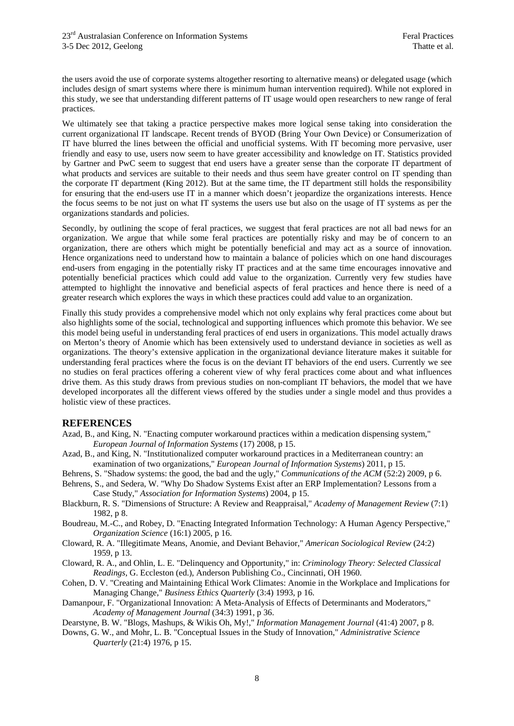the users avoid the use of corporate systems altogether resorting to alternative means) or delegated usage (which includes design of smart systems where there is minimum human intervention required). While not explored in this study, we see that understanding different patterns of IT usage would open researchers to new range of feral practices.

We ultimately see that taking a practice perspective makes more logical sense taking into consideration the current organizational IT landscape. Recent trends of BYOD (Bring Your Own Device) or Consumerization of IT have blurred the lines between the official and unofficial systems. With IT becoming more pervasive, user friendly and easy to use, users now seem to have greater accessibility and knowledge on IT. Statistics provided by Gartner and PwC seem to suggest that end users have a greater sense than the corporate IT department of what products and services are suitable to their needs and thus seem have greater control on IT spending than the corporate IT department (King 2012). But at the same time, the IT department still holds the responsibility for ensuring that the end-users use IT in a manner which doesn't jeopardize the organizations interests. Hence the focus seems to be not just on what IT systems the users use but also on the usage of IT systems as per the organizations standards and policies.

Secondly, by outlining the scope of feral practices, we suggest that feral practices are not all bad news for an organization. We argue that while some feral practices are potentially risky and may be of concern to an organization, there are others which might be potentially beneficial and may act as a source of innovation. Hence organizations need to understand how to maintain a balance of policies which on one hand discourages end-users from engaging in the potentially risky IT practices and at the same time encourages innovative and potentially beneficial practices which could add value to the organization. Currently very few studies have attempted to highlight the innovative and beneficial aspects of feral practices and hence there is need of a greater research which explores the ways in which these practices could add value to an organization.

Finally this study provides a comprehensive model which not only explains why feral practices come about but also highlights some of the social, technological and supporting influences which promote this behavior. We see this model being useful in understanding feral practices of end users in organizations. This model actually draws on Merton's theory of Anomie which has been extensively used to understand deviance in societies as well as organizations. The theory's extensive application in the organizational deviance literature makes it suitable for understanding feral practices where the focus is on the deviant IT behaviors of the end users. Currently we see no studies on feral practices offering a coherent view of why feral practices come about and what influences drive them. As this study draws from previous studies on non-compliant IT behaviors, the model that we have developed incorporates all the different views offered by the studies under a single model and thus provides a holistic view of these practices.

#### **REFERENCES**

- Azad, B., and King, N. "Enacting computer workaround practices within a medication dispensing system," *European Journal of Information Systems* (17) 2008, p 15.
- Azad, B., and King, N. "Institutionalized computer workaround practices in a Mediterranean country: an examination of two organizations," *European Journal of Information Systems*) 2011, p 15.
- Behrens, S. "Shadow systems: the good, the bad and the ugly," *Communications of the ACM* (52:2) 2009, p 6.
- Behrens, S., and Sedera, W. "Why Do Shadow Systems Exist after an ERP Implementation? Lessons from a Case Study," *Association for Information Systems*) 2004, p 15.
- Blackburn, R. S. "Dimensions of Structure: A Review and Reappraisal," *Academy of Management Review* (7:1) 1982, p 8.
- Boudreau, M.-C., and Robey, D. "Enacting Integrated Information Technology: A Human Agency Perspective," *Organization Science* (16:1) 2005, p 16.
- Cloward, R. A. "Illegitimate Means, Anomie, and Deviant Behavior," *American Sociological Review* (24:2) 1959, p 13.
- Cloward, R. A., and Ohlin, L. E. "Delinquency and Opportunity," in: *Criminology Theory: Selected Classical Readings,* G. Eccleston (ed.), Anderson Publishing Co., Cincinnati, OH 1960.
- Cohen, D. V. "Creating and Maintaining Ethical Work Climates: Anomie in the Workplace and Implications for Managing Change," *Business Ethics Quarterly* (3:4) 1993, p 16.
- Damanpour, F. "Organizational Innovation: A Meta-Analysis of Effects of Determinants and Moderators," *Academy of Management Journal* (34:3) 1991, p 36.
- Dearstyne, B. W. "Blogs, Mashups, & Wikis Oh, My!," *Information Management Journal* (41:4) 2007, p 8.
- Downs, G. W., and Mohr, L. B. "Conceptual Issues in the Study of Innovation," *Administrative Science Quarterly* (21:4) 1976, p 15.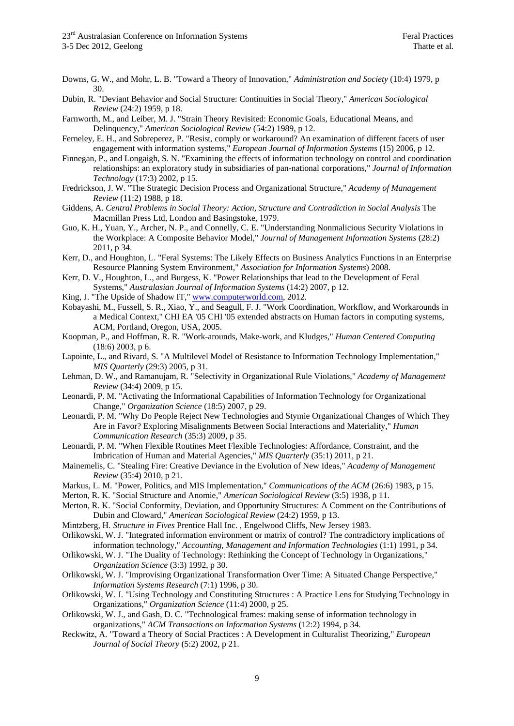- Downs, G. W., and Mohr, L. B. "Toward a Theory of Innovation," *Administration and Society* (10:4) 1979, p 30.
- Dubin, R. "Deviant Behavior and Social Structure: Continuities in Social Theory," *American Sociological Review* (24:2) 1959, p 18.
- Farnworth, M., and Leiber, M. J. "Strain Theory Revisited: Economic Goals, Educational Means, and Delinquency," *American Sociological Review* (54:2) 1989, p 12.
- Ferneley, E. H., and Sobreperez, P. "Resist, comply or workaround? An examination of different facets of user engagement with information systems," *European Journal of Information Systems* (15) 2006, p 12.
- Finnegan, P., and Longaigh, S. N. "Examining the effects of information technology on control and coordination relationships: an exploratory study in subsidiaries of pan-national corporations," *Journal of Information Technology* (17:3) 2002, p 15.
- Fredrickson, J. W. "The Strategic Decision Process and Organizational Structure," *Academy of Management Review* (11:2) 1988, p 18.
- Giddens, A. *Central Problems in Social Theory: Action, Structure and Contradiction in Social Analysis* The Macmillan Press Ltd, London and Basingstoke, 1979.
- Guo, K. H., Yuan, Y., Archer, N. P., and Connelly, C. E. "Understanding Nonmalicious Security Violations in the Workplace: A Composite Behavior Model," *Journal of Management Information Systems* (28:2) 2011, p 34.
- Kerr, D., and Houghton, L. "Feral Systems: The Likely Effects on Business Analytics Functions in an Enterprise Resource Planning System Environment," *Association for Information Systems*) 2008.
- Kerr, D. V., Houghton, L., and Burgess, K. "Power Relationships that lead to the Development of Feral Systems," *Australasian Journal of Information Systems* (14:2) 2007, p 12.
- King, J. "The Upside of Shadow IT," www.computerworld.com, 2012.
- Kobayashi, M., Fussell, S. R., Xiao, Y., and Seagull, F. J. "Work Coordination, Workflow, and Workarounds in a Medical Context," CHI EA '05 CHI '05 extended abstracts on Human factors in computing systems, ACM, Portland, Oregon, USA, 2005.
- Koopman, P., and Hoffman, R. R. "Work-arounds, Make-work, and Kludges," *Human Centered Computing* (18:6) 2003, p 6.
- Lapointe, L., and Rivard, S. "A Multilevel Model of Resistance to Information Technology Implementation," *MIS Quarterly* (29:3) 2005, p 31.
- Lehman, D. W., and Ramanujam, R. "Selectivity in Organizational Rule Violations," *Academy of Management Review* (34:4) 2009, p 15.
- Leonardi, P. M. "Activating the Informational Capabilities of Information Technology for Organizational Change," *Organization Science* (18:5) 2007, p 29.
- Leonardi, P. M. "Why Do People Reject New Technologies and Stymie Organizational Changes of Which They Are in Favor? Exploring Misalignments Between Social Interactions and Materiality," *Human Communication Research* (35:3) 2009, p 35.
- Leonardi, P. M. "When Flexible Routines Meet Flexible Technologies: Affordance, Constraint, and the Imbrication of Human and Material Agencies," *MIS Quarterly* (35:1) 2011, p 21.
- Mainemelis, C. "Stealing Fire: Creative Deviance in the Evolution of New Ideas," *Academy of Management Review* (35:4) 2010, p 21.
- Markus, L. M. "Power, Politics, and MIS Implementation," *Communications of the ACM* (26:6) 1983, p 15.
- Merton, R. K. "Social Structure and Anomie," *American Sociological Review* (3:5) 1938, p 11.
- Merton, R. K. "Social Conformity, Deviation, and Opportunity Structures: A Comment on the Contributions of Dubin and Cloward," *American Sociological Review* (24:2) 1959, p 13.
- Mintzberg, H. *Structure in Fives* Prentice Hall Inc. , Engelwood Cliffs, New Jersey 1983.
- Orlikowski, W. J. "Integrated information environment or matrix of control? The contradictory implications of information technology," *Accounting, Management and Information Technologies* (1:1) 1991, p 34.
- Orlikowski, W. J. "The Duality of Technology: Rethinking the Concept of Technology in Organizations," *Organization Science* (3:3) 1992, p 30.
- Orlikowski, W. J. "Improvising Organizational Transformation Over Time: A Situated Change Perspective," *Information Systems Research* (7:1) 1996, p 30.
- Orlikowski, W. J. "Using Technology and Constituting Structures : A Practice Lens for Studying Technology in Organizations," *Organization Science* (11:4) 2000, p 25.
- Orlikowski, W. J., and Gash, D. C. "Technological frames: making sense of information technology in organizations," *ACM Transactions on Information Systems* (12:2) 1994, p 34.
- Reckwitz, A. "Toward a Theory of Social Practices : A Development in Culturalist Theorizing," *European Journal of Social Theory* (5:2) 2002, p 21.